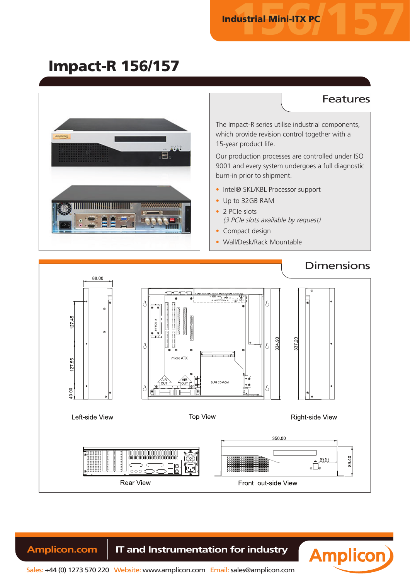## Impact-R 156/157

#### **Features** The Impact-R series utilise industrial components, which provide revision control together with a 15-year product life. Our production processes are controlled under ISO 9001 and every system undergoes a full diagnostic burn-in prior to shipment. • Intel® SKL/KBL Processor support • Up to 32GB RAM • 2 PCIe slots (3 PCIe slots available by request) • Compact design • Wall/Desk/Rack Mountable **Dimensions** 88.00 ø 12745  $\sim$ 334.90 337 20 micro ATX 55 27. SLIM CD-ROM 1000 Left-side View **Top View** Right-side View 350.00  $\frac{1}{\sqrt{2}}$ 8940  $000<sub>1</sub>$ **Rear View** Front out-side View

**Amplicon.com | IT and Instrumentation for industry** 



Sales: +44 (0) 1273 570 220 Website: www.amplicon.com Email: sales@amplicon.com